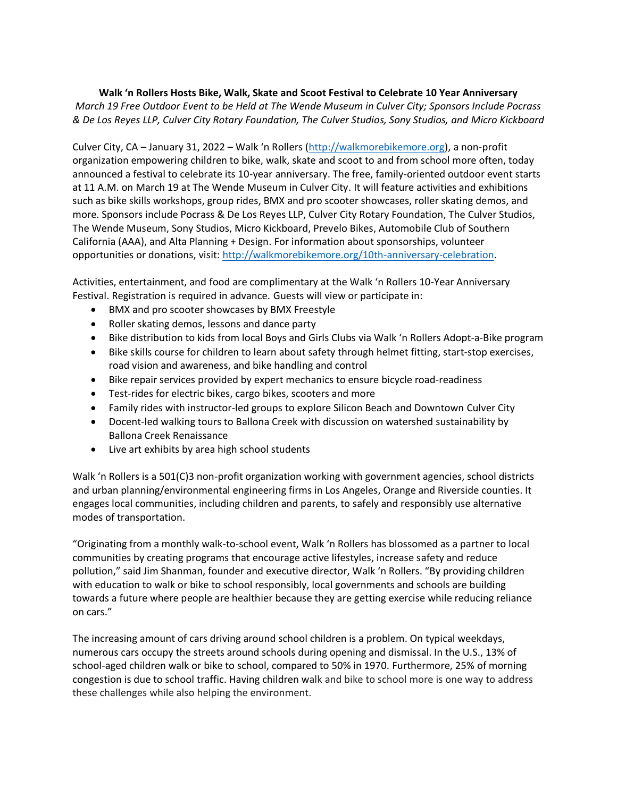## **Walk 'n Rollers Hosts Bike, Walk, Skate and Scoot Festival to Celebrate 10 Year Anniversary** *March 19 Free Outdoor Event to be Held at The Wende Museum in Culver City; Sponsors Include Pocrass & De Los Reyes LLP, Culver City Rotary Foundation, The Culver Studios, Sony Studios, and Micro Kickboard*

Culver City, CA – January 31, 2022 – Walk 'n Rollers ([http://walkmorebikemore.org\)](http://walkmorebikemore.org/), a non-profit organization empowering children to bike, walk, skate and scoot to and from school more often, today announced a festival to celebrate its 10-year anniversary. The free, family-oriented outdoor event starts at 11 A.M. on March 19 at The Wende Museum in Culver City. It will feature activities and exhibitions such as bike skills workshops, group rides, BMX and pro scooter showcases, roller skating demos, and more. Sponsors include Pocrass & De Los Reyes LLP, Culver City Rotary Foundation, The Culver Studios, The Wende Museum, Sony Studios, Micro Kickboard, Prevelo Bikes, Automobile Club of Southern California (AAA), and Alta Planning + Design. For information about sponsorships, volunteer opportunities or donations, visit: [http://walkmorebikemore.org/10th-anniversary-celebration.](http://walkmorebikemore.org/10th-anniversary-celebration/)

Activities, entertainment, and food are complimentary at the Walk 'n Rollers 10-Year Anniversary Festival. Registration is required in advance. Guests will view or participate in:

- BMX and pro scooter showcases by BMX Freestyle
- Roller skating demos, lessons and dance party
- Bike distribution to kids from local Boys and Girls Clubs via Walk 'n Rollers Adopt-a-Bike program
- Bike skills course for children to learn about safety through helmet fitting, start-stop exercises, road vision and awareness, and bike handling and control
- Bike repair services provided by expert mechanics to ensure bicycle road-readiness
- Test-rides for electric bikes, cargo bikes, scooters and more
- Family rides with instructor-led groups to explore Silicon Beach and Downtown Culver City
- Docent-led walking tours to Ballona Creek with discussion on watershed sustainability by Ballona Creek Renaissance
- Live art exhibits by area high school students

Walk 'n Rollers is a 501(C)3 non-profit organization working with government agencies, school districts and urban planning/environmental engineering firms in Los Angeles, Orange and Riverside counties. It engages local communities, including children and parents, to safely and responsibly use alternative modes of transportation.

"Originating from a monthly walk-to-school event, Walk 'n Rollers has blossomed as a partner to local communities by creating programs that encourage active lifestyles, increase safety and reduce pollution," said Jim Shanman, founder and executive director, Walk 'n Rollers. "By providing children with education to walk or bike to school responsibly, local governments and schools are building towards a future where people are healthier because they are getting exercise while reducing reliance on cars."

The increasing amount of cars driving around school children is a problem. On typical weekdays, numerous cars occupy the streets around schools during opening and dismissal. In the U.S., 13% of school-aged children walk or bike to school, compared to 50% in 1970. Furthermore, 25% of morning congestion is due to school traffic. Having children walk and bike to school more is one way to address these challenges while also helping the environment.